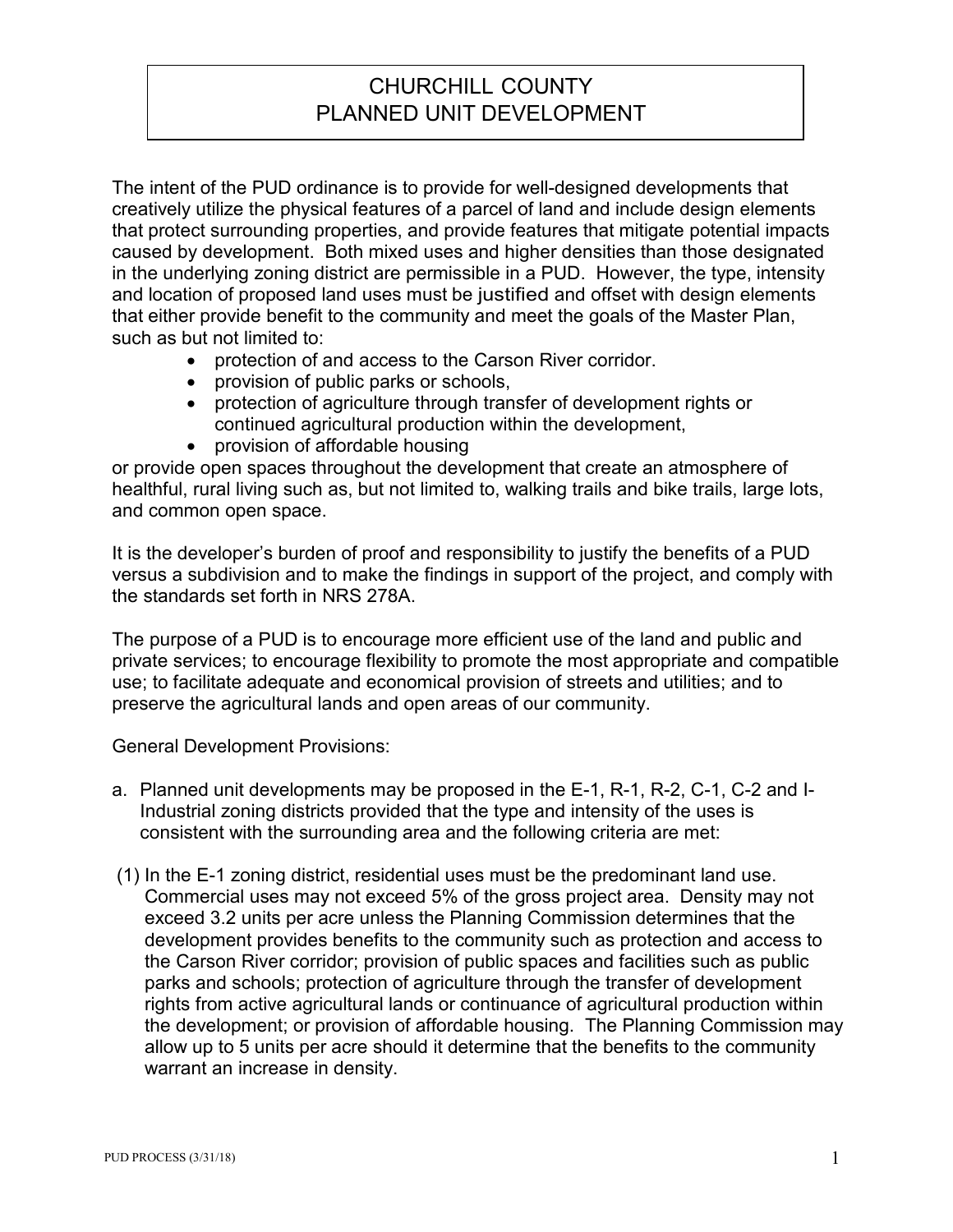## CHURCHILL COUNTY PLANNED UNIT DEVELOPMENT

The intent of the PUD ordinance is to provide for well-designed developments that creatively utilize the physical features of a parcel of land and include design elements that protect surrounding properties, and provide features that mitigate potential impacts caused by development. Both mixed uses and higher densities than those designated in the underlying zoning district are permissible in a PUD. However, the type, intensity and location of proposed land uses must be justified and offset with design elements that either provide benefit to the community and meet the goals of the Master Plan, such as but not limited to:

- protection of and access to the Carson River corridor.
- provision of public parks or schools,
- protection of agriculture through transfer of development rights or continued agricultural production within the development,
- provision of affordable housing

or provide open spaces throughout the development that create an atmosphere of healthful, rural living such as, but not limited to, walking trails and bike trails, large lots, and common open space.

It is the developer's burden of proof and responsibility to justify the benefits of a PUD versus a subdivision and to make the findings in support of the project, and comply with the standards set forth in NRS 278A.

The purpose of a PUD is to encourage more efficient use of the land and public and private services; to encourage flexibility to promote the most appropriate and compatible use; to facilitate adequate and economical provision of streets and utilities; and to preserve the agricultural lands and open areas of our community.

General Development Provisions:

- a. Planned unit developments may be proposed in the E-1, R-1, R-2, C-1, C-2 and I-Industrial zoning districts provided that the type and intensity of the uses is consistent with the surrounding area and the following criteria are met:
- (1) In the E-1 zoning district, residential uses must be the predominant land use. Commercial uses may not exceed 5% of the gross project area. Density may not exceed 3.2 units per acre unless the Planning Commission determines that the development provides benefits to the community such as protection and access to the Carson River corridor; provision of public spaces and facilities such as public parks and schools; protection of agriculture through the transfer of development rights from active agricultural lands or continuance of agricultural production within the development; or provision of affordable housing. The Planning Commission may allow up to 5 units per acre should it determine that the benefits to the community warrant an increase in density.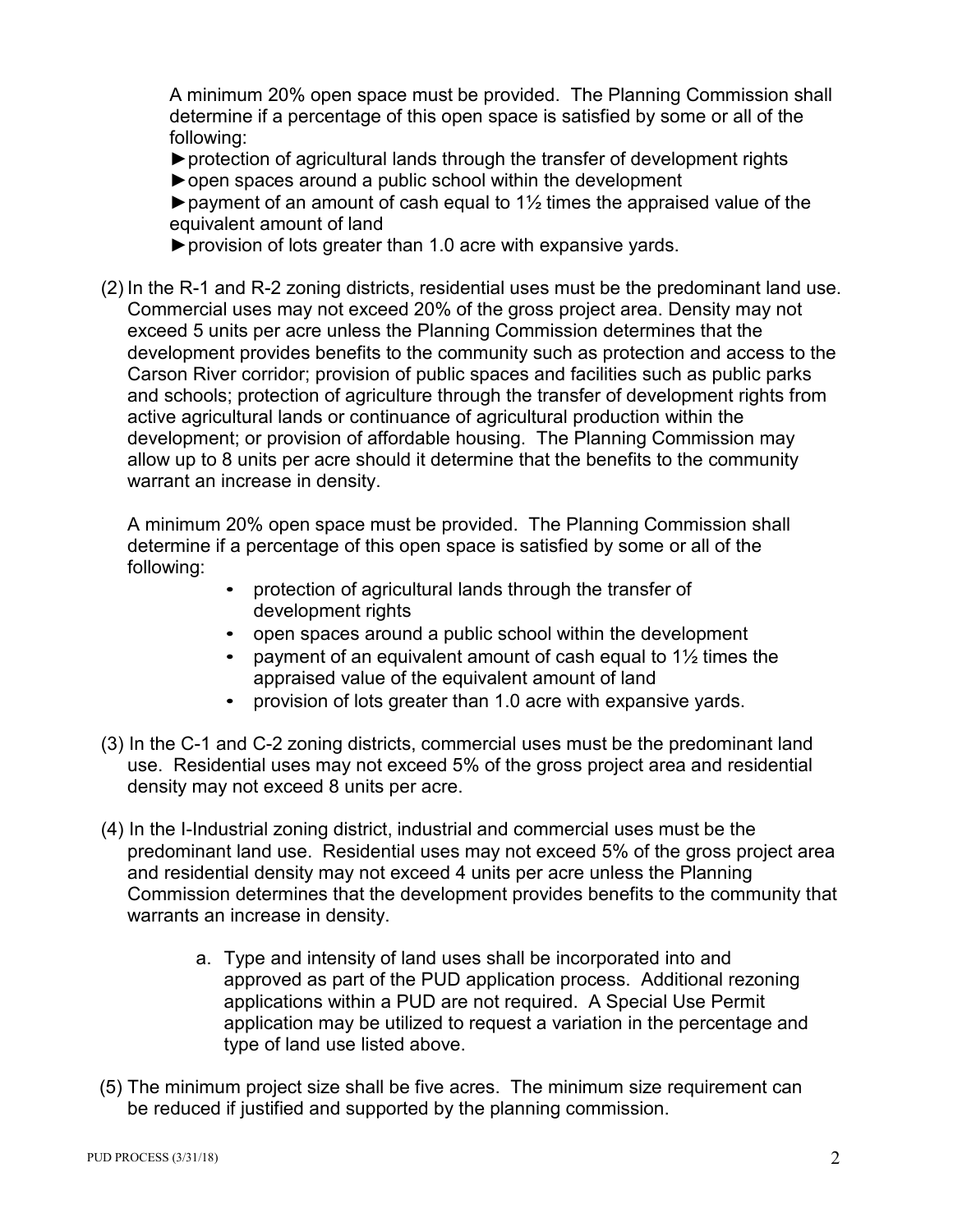A minimum 20% open space must be provided. The Planning Commission shall determine if a percentage of this open space is satisfied by some or all of the following:

►protection of agricultural lands through the transfer of development rights

►open spaces around a public school within the development

 $\blacktriangleright$  payment of an amount of cash equal to 1½ times the appraised value of the equivalent amount of land

►provision of lots greater than 1.0 acre with expansive yards.

(2) In the R-1 and R-2 zoning districts, residential uses must be the predominant land use. Commercial uses may not exceed 20% of the gross project area. Density may not exceed 5 units per acre unless the Planning Commission determines that the development provides benefits to the community such as protection and access to the Carson River corridor; provision of public spaces and facilities such as public parks and schools; protection of agriculture through the transfer of development rights from active agricultural lands or continuance of agricultural production within the development; or provision of affordable housing. The Planning Commission may allow up to 8 units per acre should it determine that the benefits to the community warrant an increase in density.

A minimum 20% open space must be provided. The Planning Commission shall determine if a percentage of this open space is satisfied by some or all of the following:

- protection of agricultural lands through the transfer of development rights
- open spaces around a public school within the development
- payment of an equivalent amount of cash equal to 1½ times the appraised value of the equivalent amount of land
- provision of lots greater than 1.0 acre with expansive yards.
- (3) In the C-1 and C-2 zoning districts, commercial uses must be the predominant land use. Residential uses may not exceed 5% of the gross project area and residential density may not exceed 8 units per acre.
- (4) In the I-Industrial zoning district, industrial and commercial uses must be the predominant land use. Residential uses may not exceed 5% of the gross project area and residential density may not exceed 4 units per acre unless the Planning Commission determines that the development provides benefits to the community that warrants an increase in density.
	- a. Type and intensity of land uses shall be incorporated into and approved as part of the PUD application process. Additional rezoning applications within a PUD are not required. A Special Use Permit application may be utilized to request a variation in the percentage and type of land use listed above.
- (5) The minimum project size shall be five acres. The minimum size requirement can be reduced if justified and supported by the planning commission.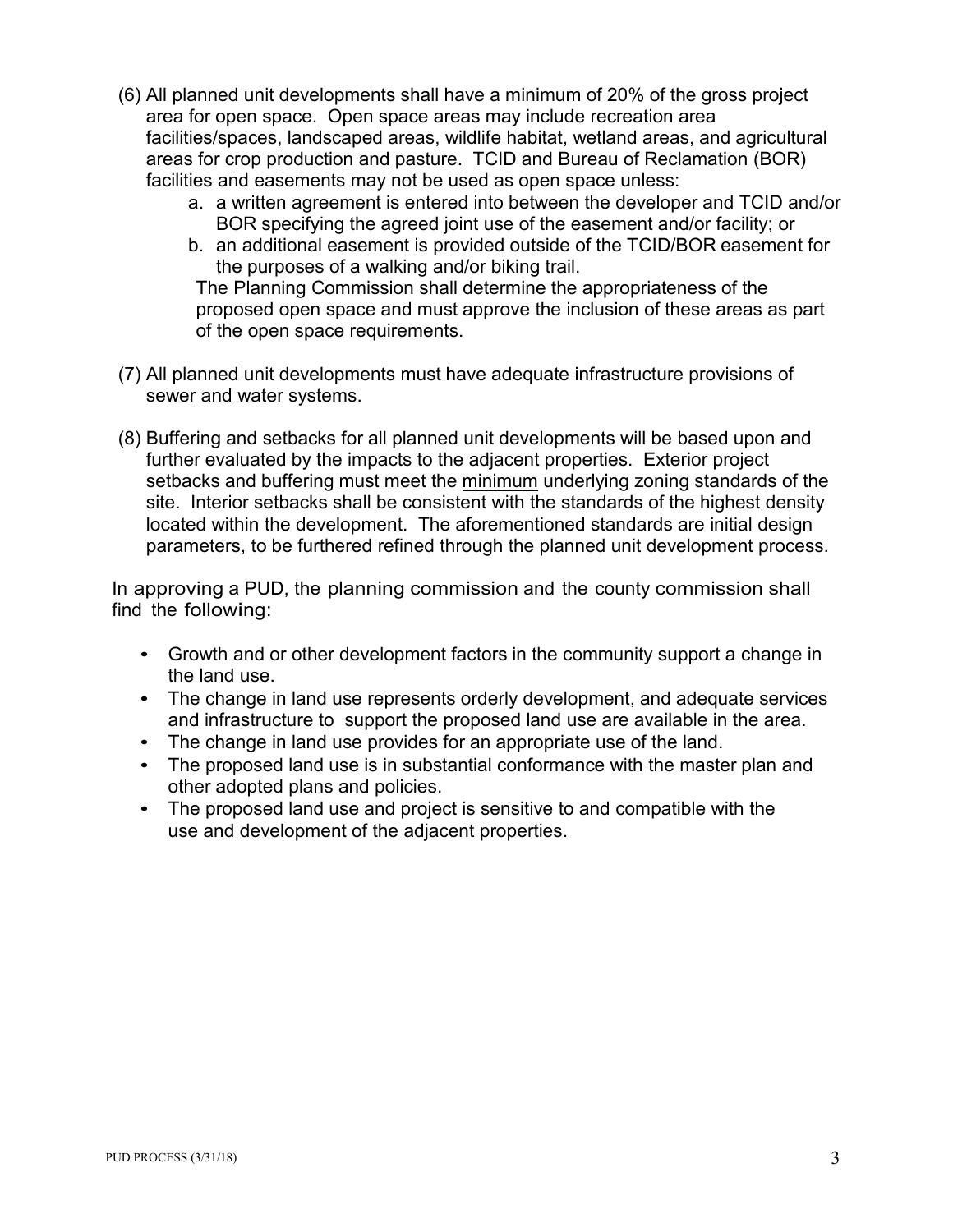- (6) All planned unit developments shall have a minimum of 20% of the gross project area for open space. Open space areas may include recreation area facilities/spaces, landscaped areas, wildlife habitat, wetland areas, and agricultural areas for crop production and pasture. TCID and Bureau of Reclamation (BOR) facilities and easements may not be used as open space unless:
	- a. a written agreement is entered into between the developer and TCID and/or BOR specifying the agreed joint use of the easement and/or facility; or
	- b. an additional easement is provided outside of the TCID/BOR easement for the purposes of a walking and/or biking trail.

The Planning Commission shall determine the appropriateness of the proposed open space and must approve the inclusion of these areas as part of the open space requirements.

- (7) All planned unit developments must have adequate infrastructure provisions of sewer and water systems.
- (8) Buffering and setbacks for all planned unit developments will be based upon and further evaluated by the impacts to the adjacent properties. Exterior project setbacks and buffering must meet the minimum underlying zoning standards of the site. Interior setbacks shall be consistent with the standards of the highest density located within the development. The aforementioned standards are initial design parameters, to be furthered refined through the planned unit development process.

In approving a PUD, the planning commission and the county commission shall find the following:

- Growth and or other development factors in the community support a change in the land use.
- The change in land use represents orderly development, and adequate services and infrastructure to support the proposed land use are available in the area.
- The change in land use provides for an appropriate use of the land.
- The proposed land use is in substantial conformance with the master plan and other adopted plans and policies.
- The proposed land use and project is sensitive to and compatible with the use and development of the adjacent properties.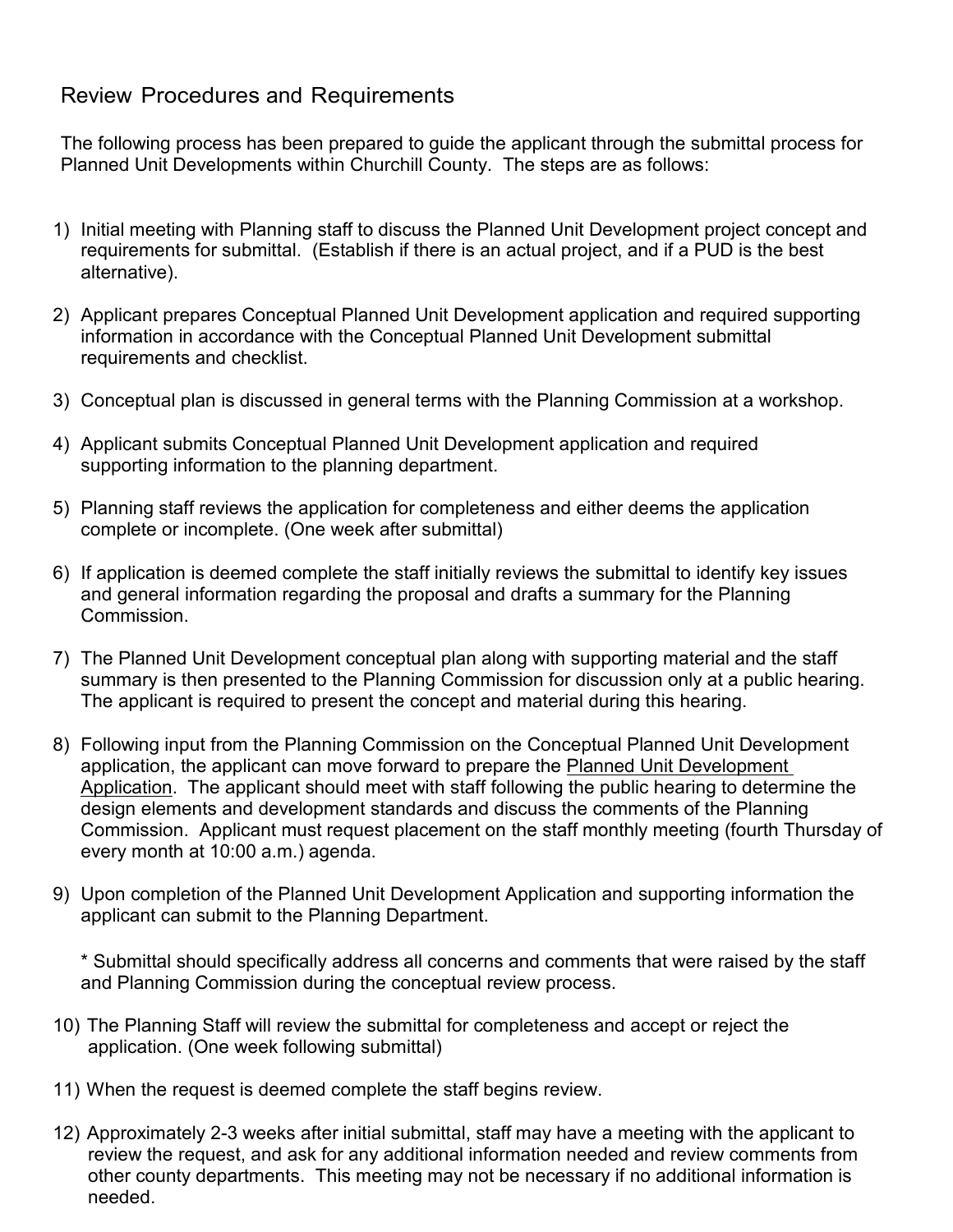## Review Procedures and Requirements

The following process has been prepared to guide the applicant through the submittal process for Planned Unit Developments within Churchill County. The steps are as follows:

- 1) Initial meeting with Planning staff to discuss the Planned Unit Development project concept and requirements for submittal. (Establish if there is an actual project, and if a PUD is the best alternative).
- 2) Applicant prepares Conceptual Planned Unit Development application and required supporting information in accordance with the Conceptual Planned Unit Development submittal requirements and checklist.
- 3) Conceptual plan is discussed in general terms with the Planning Commission at a workshop.
- 4) Applicant submits Conceptual Planned Unit Development application and required supporting information to the planning department.
- 5) Planning staff reviews the application for completeness and either deems the application complete or incomplete. (One week after submittal)
- 6) If application is deemed complete the staff initially reviews the submittal to identify key issues and general information regarding the proposal and drafts a summary for the Planning Commission.
- 7) The Planned Unit Development conceptual plan along with supporting material and the staff summary is then presented to the Planning Commission for discussion only at a public hearing. The applicant is required to present the concept and material during this hearing.
- 8) Following input from the Planning Commission on the Conceptual Planned Unit Development application, the applicant can move forward to prepare the Planned Unit Development Application. The applicant should meet with staff following the public hearing to determine the design elements and development standards and discuss the comments of the Planning Commission. Applicant must request placement on the staff monthly meeting (fourth Thursday of every month at 10:00 a.m.) agenda.
- 9) Upon completion of the Planned Unit Development Application and supporting information the applicant can submit to the Planning Department.

\* Submittal should specifically address all concerns and comments that were raised by the staff and Planning Commission during the conceptual review process.

- 10) The Planning Staff will review the submittal for completeness and accept or reject the application. (One week following submittal)
- 11) When the request is deemed complete the staff begins review.
- 12) Approximately 2-3 weeks after initial submittal, staff may have a meeting with the applicant to review the request, and ask for any additional information needed and review comments from other county departments. This meeting may not be necessary if no additional information is needed.